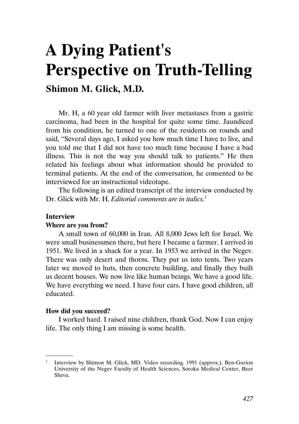# A Dying Patient's Perspective on Truth-Telling

Shimon M. Glick, M.D.

Mr. H, a 60 year old farmer with liver metastases from a gastric carcinoma, had been in the hospital for quite some time. Jaundiced from his condition, he turned to one of the residents on rounds and said, "Several days ago, I asked you how much time I have to live, and you told me that I did not have too much time because I have a bad illness. This is not the way you should talk to patients." He then related his feelings about what information should be provided to terminal patients. At the end of the conversation, he consented to be interviewed for an instructional videotape.

The following is an edited transcript of the interview conducted by Dr. Glick with Mr. H. Editorial comments are in italics.<sup>1</sup>

## Interview

## Where are you from?

A small town of 60,000 in Iran. All 8,000 Jews left for Israel. We were small businessmen there, but here I became a farmer. I arrived in 1951. We lived in a shack for a year. In 1953 we arrived in the Negev. There was only desert and thorns. They put us into tents. Two years later we moved to huts, then concrete building, and finally they built us decent houses. We now live like human beings. We have a good life. We have everything we need. I have four cars. I have good children, all educated.

## How did you succeed?

.

I worked hard. I raised nine children, thank God. Now I can enjoy life. The only thing I am missing is some health.

<sup>1</sup> Interview by Shimon M. Glick, MD. Video recording. 1991 (approx.). Ben-Gurion University of the Negev Faculty of Health Sciences, Soroka Medical Center, Beer Sheva.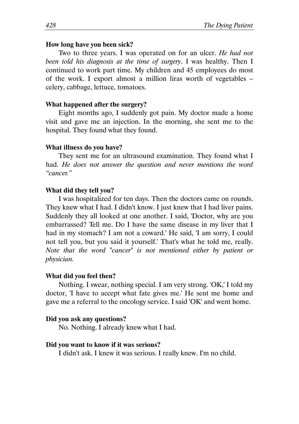## How long have you been sick?

Two to three years. I was operated on for an ulcer. He had not been told his diagnosis at the time of surgery. I was healthy. Then I continued to work part time. My children and 45 employees do most of the work. I export almost a million liras worth of vegetables – celery, cabbage, lettuce, tomatoes.

## What happened after the surgery?

Eight months ago, I suddenly got pain. My doctor made a home visit and gave me an injection. In the morning, she sent me to the hospital. They found what they found.

## What illness do you have?

They sent me for an ultrasound examination. They found what I had. He does not answer the question and never mentions the word "cancer."

#### What did they tell you?

I was hospitalized for ten days. Then the doctors came on rounds. They knew what I had. I didn't know. I just knew that I had liver pains. Suddenly they all looked at one another. I said, 'Doctor, why are you embarrassed? Tell me. Do I have the same disease in my liver that I had in my stomach? I am not a coward.' He said, 'I am sorry, I could not tell you, but you said it yourself.' That's what he told me, really. Note that the word "cancer" is not mentioned either by patient or physician.

#### What did you feel then?

Nothing. I swear, nothing special. I am very strong. 'OK,' I told my doctor, 'I have to accept what fate gives me.' He sent me home and gave me a referral to the oncology service. I said 'OK' and went home.

#### Did you ask any questions?

No. Nothing. I already knew what I had.

#### Did you want to know if it was serious?

I didn't ask. I knew it was serious. I really knew. I'm no child.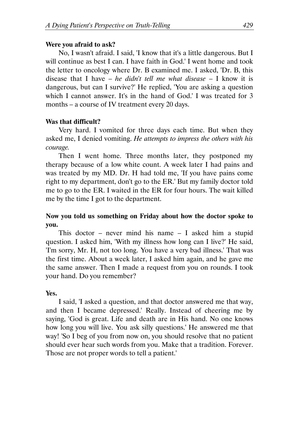## Were you afraid to ask?

No, I wasn't afraid. I said, 'I know that it's a little dangerous. But I will continue as best I can. I have faith in God.' I went home and took the letter to oncology where Dr. B examined me. I asked, 'Dr. B, this disease that I have – he didn't tell me what disease – I know it is dangerous, but can I survive?' He replied, 'You are asking a question which I cannot answer. It's in the hand of God.' I was treated for 3 months – a course of IV treatment every 20 days.

# Was that difficult?

Very hard. I vomited for three days each time. But when they asked me, I denied vomiting. He attempts to impress the others with his courage.

Then I went home. Three months later, they postponed my therapy because of a low white count. A week later I had pains and was treated by my MD. Dr. H had told me, 'If you have pains come right to my department, don't go to the ER.' But my family doctor told me to go to the ER. I waited in the ER for four hours. The wait killed me by the time I got to the department.

# Now you told us something on Friday about how the doctor spoke to you.

This doctor – never mind his name – I asked him a stupid question. I asked him, 'With my illness how long can I live?' He said, 'I'm sorry, Mr. H, not too long. You have a very bad illness.' That was the first time. About a week later, I asked him again, and he gave me the same answer. Then I made a request from you on rounds. I took your hand. Do you remember?

# Yes.

I said, 'I asked a question, and that doctor answered me that way, and then I became depressed.' Really. Instead of cheering me by saying, 'God is great. Life and death are in His hand. No one knows how long you will live. You ask silly questions.' He answered me that way! 'So I beg of you from now on, you should resolve that no patient should ever hear such words from you. Make that a tradition. Forever. Those are not proper words to tell a patient.'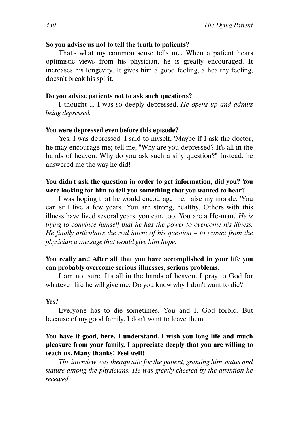## So you advise us not to tell the truth to patients?

That's what my common sense tells me. When a patient hears optimistic views from his physician, he is greatly encouraged. It increases his longevity. It gives him a good feeling, a healthy feeling, doesn't break his spirit.

#### Do you advise patients not to ask such questions?

I thought ... I was so deeply depressed. He opens up and admits being depressed.

#### You were depressed even before this episode?

Yes. I was depressed. I said to myself, 'Maybe if I ask the doctor, he may encourage me; tell me, "Why are you depressed? It's all in the hands of heaven. Why do you ask such a silly question?" Instead, he answered me the way he did!

# You didn't ask the question in order to get information, did you? You were looking for him to tell you something that you wanted to hear?

I was hoping that he would encourage me, raise my morale. 'You can still live a few years. You are strong, healthy. Others with this illness have lived several years, you can, too. You are a He-man.' He is trying to convince himself that he has the power to overcome his illness. He finally articulates the real intent of his question  $-$  to extract from the physician a message that would give him hope.

## You really are! After all that you have accomplished in your life you can probably overcome serious illnesses, serious problems.

I am not sure. It's all in the hands of heaven. I pray to God for whatever life he will give me. Do you know why I don't want to die?

## Yes?

Everyone has to die sometimes. You and I, God forbid. But because of my good family. I don't want to leave them.

# You have it good, here. I understand. I wish you long life and much pleasure from your family. I appreciate deeply that you are willing to teach us. Many thanks! Feel well!

The interview was therapeutic for the patient, granting him status and stature among the physicians. He was greatly cheered by the attention he received.